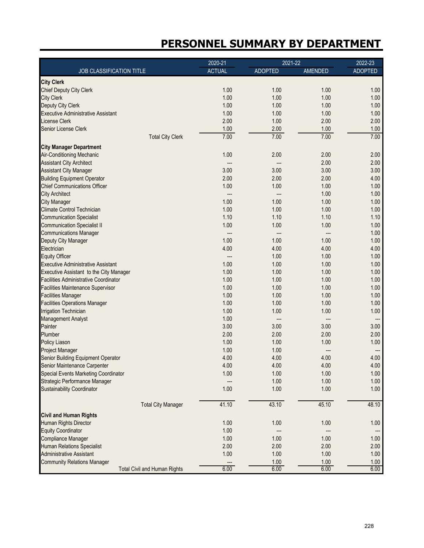|                                                              | 2020-21                  | 2021-22      |                | 2022-23        |
|--------------------------------------------------------------|--------------------------|--------------|----------------|----------------|
| JOB CLASSIFICATION TITLE                                     | <b>ACTUAL</b>            | ADOPTED      | <b>AMENDED</b> | <b>ADOPTED</b> |
| <b>City Clerk</b>                                            |                          |              |                |                |
| <b>Chief Deputy City Clerk</b>                               | 1.00                     | 1.00         | 1.00           | 1.00           |
| <b>City Clerk</b>                                            | 1.00                     | 1.00         | 1.00           | 1.00           |
| Deputy City Clerk                                            | 1.00                     | 1.00         | 1.00           | 1.00           |
| <b>Executive Administrative Assistant</b>                    | 1.00                     | 1.00         | 1.00           | 1.00           |
| <b>License Clerk</b>                                         | 2.00                     | 1.00         | 2.00           | 2.00           |
| Senior License Clerk                                         | 1.00                     | 2.00         | 1.00           | 1.00           |
| <b>Total City Clerk</b>                                      | 7.00                     | 7.00         | 7.00           | 7.00           |
| <b>City Manager Department</b>                               |                          |              |                |                |
| <b>Air-Conditioning Mechanic</b>                             | 1.00                     | 2.00         | 2.00           | 2.00           |
| <b>Assistant City Architect</b>                              | $\overline{\phantom{a}}$ | ---          | 2.00           | 2.00           |
| <b>Assistant City Manager</b>                                | 3.00                     | 3.00         | 3.00           | 3.00           |
| <b>Building Equipment Operator</b>                           | 2.00                     | 2.00         | 2.00           | 4.00           |
| <b>Chief Communications Officer</b>                          | 1.00                     | 1.00         | 1.00           | 1.00           |
| <b>City Architect</b>                                        | $\overline{\phantom{a}}$ | ---          | 1.00           | 1.00           |
| <b>City Manager</b>                                          | 1.00                     | 1.00         | 1.00           | 1.00           |
| <b>Climate Control Technician</b>                            | 1.00                     | 1.00         | 1.00           | 1.00           |
| <b>Communication Specialist</b>                              | 1.10                     | 1.10         | 1.10           | 1.10           |
| <b>Communication Specialist II</b>                           | 1.00                     | 1.00         | 1.00           | 1.00           |
| <b>Communications Manager</b>                                | ---                      |              |                | 1.00           |
| Deputy City Manager                                          | 1.00                     | 1.00         | 1.00           | 1.00           |
| Electrician                                                  | 4.00                     | 4.00         | 4.00           | 4.00           |
| <b>Equity Officer</b>                                        | ---                      | 1.00         | 1.00           | 1.00           |
| <b>Executive Administrative Assistant</b>                    | 1.00                     | 1.00         | 1.00           | 1.00           |
| Executive Assistant to the City Manager                      | 1.00                     | 1.00         | 1.00           | 1.00           |
| <b>Facilities Administrative Coordinator</b>                 | 1.00                     | 1.00         | 1.00           | 1.00           |
| <b>Facilities Maintenance Supervisor</b>                     | 1.00                     | 1.00         | 1.00           | 1.00           |
| <b>Facilities Manager</b>                                    | 1.00                     | 1.00         | 1.00           | 1.00           |
| <b>Facilities Operations Manager</b>                         | 1.00                     | 1.00         | 1.00           | 1.00           |
| <b>Irrigation Technician</b>                                 | 1.00                     | 1.00         | 1.00           | 1.00           |
|                                                              | 1.00                     |              |                |                |
| Management Analyst<br>Painter                                | 3.00                     | ---<br>3.00  | 3.00           | 3.00           |
| Plumber                                                      |                          |              |                |                |
|                                                              | 2.00                     | 2.00         | 2.00           | 2.00           |
| <b>Policy Liason</b>                                         | 1.00                     | 1.00         | 1.00           | 1.00           |
| <b>Project Manager</b><br>Senior Building Equipment Operator | 1.00                     | 1.00<br>4.00 |                | ---            |
|                                                              | 4.00                     |              | 4.00           | 4.00           |
| Senior Maintenance Carpenter                                 | 4.00                     | 4.00         | 4.00           | 4.00           |
| <b>Special Events Marketing Coordinator</b>                  | 1.00                     | 1.00         | 1.00           | 1.00           |
| Strategic Performance Manager                                | ---                      | 1.00         | 1.00           | 1.00           |
| <b>Sustainability Coordinator</b>                            | 1.00                     | 1.00         | 1.00           | 1.00           |
| <b>Total City Manager</b>                                    | 41.10                    | 43.10        | 45.10          | 48.10          |
| <b>Civil and Human Rights</b>                                |                          |              |                |                |
| Human Rights Director                                        | 1.00                     | 1.00         | 1.00           | 1.00           |
| <b>Equity Coordinator</b>                                    | 1.00                     |              |                |                |
| Compliance Manager                                           | 1.00                     | 1.00         | 1.00           | 1.00           |
| <b>Human Relations Specialist</b>                            | 2.00                     | 2.00         | 2.00           | 2.00           |
| Administrative Assistant                                     | 1.00                     | 1.00         | 1.00           | 1.00           |
| <b>Community Relations Manager</b>                           |                          | 1.00         | 1.00           | 1.00           |
| <b>Total Civil and Human Rights</b>                          | 6.00                     | 6.00         | 6.00           | 6.00           |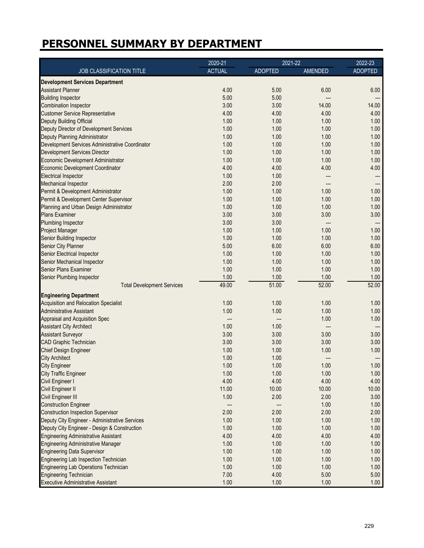|                                                 | 2020-21       | $2021 - 22$    |         | $2022 - 23$              |
|-------------------------------------------------|---------------|----------------|---------|--------------------------|
| JOB CLASSIFICATION TITLE                        | <b>ACTUAL</b> | <b>ADOPTED</b> | AMENDED | <b>ADOPTED</b>           |
| <b>Development Services Department</b>          |               |                |         |                          |
| <b>Assistant Planner</b>                        | 4.00          | 5.00           | 6.00    | 6.00                     |
| <b>Building Inspector</b>                       | 5.00          | 5.00           | ---     | ---                      |
| <b>Combination Inspector</b>                    | 3.00          | 3.00           | 14.00   | 14.00                    |
| <b>Customer Service Representative</b>          | 4.00          | 4.00           | 4.00    | 4.00                     |
| Deputy Building Official                        | 1.00          | 1.00           | 1.00    | 1.00                     |
| Deputy Director of Development Services         | 1.00          | 1.00           | 1.00    | 1.00                     |
| Deputy Planning Administrator                   | 1.00          | 1.00           | 1.00    | 1.00                     |
| Development Services Administrative Coordinator | 1.00          | 1.00           | 1.00    | 1.00                     |
| <b>Development Services Director</b>            | 1.00          | 1.00           | 1.00    | 1.00                     |
| Economic Development Administrator              | 1.00          | 1.00           | 1.00    | 1.00                     |
| <b>Economic Development Coordinator</b>         | 4.00          | 4.00           | 4.00    | 4.00                     |
| <b>Electrical Inspector</b>                     | 1.00          | 1.00           |         |                          |
| <b>Mechanical Inspector</b>                     | 2.00          | 2.00           |         |                          |
|                                                 | 1.00          | 1.00           | 1.00    | ---<br>1.00              |
| Permit & Development Administrator              |               |                |         |                          |
| Permit & Development Center Supervisor          | 1.00          | 1.00           | 1.00    | 1.00                     |
| Planning and Urban Design Administrator         | 1.00          | 1.00           | 1.00    | 1.00                     |
| <b>Plans Examiner</b>                           | 3.00          | 3.00           | 3.00    | 3.00                     |
| Plumbing Inspector                              | 3.00          | 3.00           | ---     | ---                      |
| Project Manager                                 | 1.00          | 1.00           | 1.00    | 1.00                     |
| Senior Building Inspector                       | 1.00          | 1.00           | 1.00    | 1.00                     |
| Senior City Planner                             | 5.00          | 6.00           | 6.00    | 6.00                     |
| Senior Electrical Inspector                     | 1.00          | 1.00           | 1.00    | 1.00                     |
| Senior Mechanical Inspector                     | 1.00          | 1.00           | 1.00    | 1.00                     |
| <b>Senior Plans Examiner</b>                    | 1.00          | 1.00           | 1.00    | 1.00                     |
| Senior Plumbing Inspector                       | 1.00          | 1.00           | 1.00    | 1.00                     |
| <b>Total Development Services</b>               | 49.00         | 51.00          | 52.00   | 52.00                    |
| <b>Engineering Department</b>                   |               |                |         |                          |
| <b>Acquisition and Relocation Specialist</b>    | 1.00          | 1.00           | 1.00    | 1.00                     |
| <b>Administrative Assistant</b>                 | 1.00          | 1.00           | 1.00    | 1.00                     |
| Appraisal and Acquisition Spec                  |               |                | 1.00    | 1.00                     |
| <b>Assistant City Architect</b>                 | 1.00          | 1.00           | ---     | $\overline{\phantom{a}}$ |
| <b>Assistant Surveyor</b>                       | 3.00          | 3.00           | 3.00    | 3.00                     |
| <b>CAD Graphic Technician</b>                   | 3.00          | 3.00           | 3.00    | 3.00                     |
| <b>Chief Design Engineer</b>                    | 1.00          | 1.00           | 1.00    | 1.00                     |
| <b>City Architect</b>                           | 1.00          | 1.00           | ---     | ---                      |
| <b>City Engineer</b>                            | 1.00          | 1.00           | 1.00    | 1.00                     |
| <b>City Traffic Engineer</b>                    | 1.00          | 1.00           | 1.00    | 1.00                     |
| Civil Engineer I                                | 4.00          | 4.00           | 4.00    | 4.00                     |
| Civil Engineer II                               | 11.00         | 10.00          | 10.00   | 10.00                    |
| Civil Engineer III                              | 1.00          | 2.00           | 2.00    | 3.00                     |
| <b>Construction Engineer</b>                    | ---           |                | 1.00    | 1.00                     |
| <b>Construction Inspection Supervisor</b>       | 2.00          | 2.00           | 2.00    | 2.00                     |
| Deputy City Engineer - Administrative Services  | 1.00          | 1.00           | 1.00    | 1.00                     |
| Deputy City Engineer - Design & Construction    | 1.00          | 1.00           | 1.00    | 1.00                     |
| <b>Engineering Administrative Assistant</b>     | 4.00          | 4.00           | 4.00    | 4.00                     |
| <b>Engineering Administrative Manager</b>       | 1.00          | 1.00           | 1.00    | 1.00                     |
| <b>Engineering Data Supervisor</b>              | 1.00          | 1.00           | 1.00    | 1.00                     |
| Engineering Lab Inspection Technician           | 1.00          | 1.00           | 1.00    | 1.00                     |
|                                                 |               |                |         |                          |
| <b>Engineering Lab Operations Technician</b>    | 1.00          | 1.00           | 1.00    | 1.00                     |
| <b>Engineering Technician</b>                   | 7.00          | 4.00           | 5.00    | 5.00                     |
| <b>Executive Administrative Assistant</b>       | 1.00          | 1.00           | 1.00    | 1.00                     |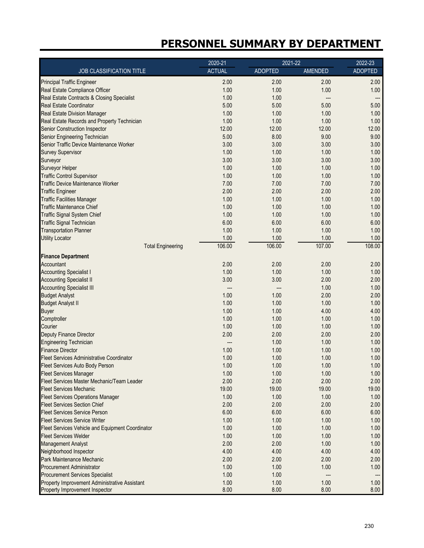|                                                  | $2020 - 21$   | 2021-22        |         | $2022 - 23$    |
|--------------------------------------------------|---------------|----------------|---------|----------------|
| JOB CLASSIFICATION TITLE                         | <b>ACTUAL</b> | <b>ADOPTED</b> | AMENDED | <b>ADOPTED</b> |
| <b>Principal Traffic Engineer</b>                | 2.00          | 2.00           | 2.00    | 2.00           |
| Real Estate Compliance Officer                   | 1.00          | 1.00           | 1.00    | 1.00           |
| Real Estate Contracts & Closing Specialist       | 1.00          | 1.00           | ---     | ---            |
| <b>Real Estate Coordinator</b>                   | 5.00          | 5.00           | 5.00    | 5.00           |
| <b>Real Estate Division Manager</b>              | 1.00          | 1.00           | 1.00    | 1.00           |
| Real Estate Records and Property Technician      | 1.00          | 1.00           | 1.00    | 1.00           |
| <b>Senior Construction Inspector</b>             | 12.00         | 12.00          | 12.00   | 12.00          |
| Senior Engineering Technician                    | 5.00          | 8.00           | 9.00    | 9.00           |
| Senior Traffic Device Maintenance Worker         | 3.00          | 3.00           | 3.00    | 3.00           |
| <b>Survey Supervisor</b>                         | 1.00          | 1.00           | 1.00    | 1.00           |
| Surveyor                                         | 3.00          | 3.00           | 3.00    | 3.00           |
| Surveyor Helper                                  | 1.00          | 1.00           | 1.00    | 1.00           |
| <b>Traffic Control Supervisor</b>                | 1.00          | 1.00           | 1.00    | 1.00           |
| <b>Traffic Device Maintenance Worker</b>         | 7.00          | 7.00           | 7.00    | 7.00           |
| <b>Traffic Engineer</b>                          | 2.00          | 2.00           | 2.00    | 2.00           |
| <b>Traffic Facilities Manager</b>                | 1.00          | 1.00           | 1.00    | 1.00           |
| <b>Traffic Maintenance Chief</b>                 | 1.00          | 1.00           | 1.00    | 1.00           |
| <b>Traffic Signal System Chief</b>               | 1.00          | 1.00           | 1.00    | 1.00           |
| <b>Traffic Signal Technician</b>                 | 6.00          | 6.00           | 6.00    | 6.00           |
| <b>Transportation Planner</b>                    | 1.00          | 1.00           | 1.00    | 1.00           |
| <b>Utility Locator</b>                           | 1.00          | 1.00           | 1.00    | 1.00           |
| <b>Total Engineering</b>                         | 106.00        | 106.00         | 107.00  | 108.00         |
| <b>Finance Department</b>                        |               |                |         |                |
| Accountant                                       | 2.00          | 2.00           | 2.00    | 2.00           |
| <b>Accounting Specialist I</b>                   | 1.00          | 1.00           | 1.00    | 1.00           |
| <b>Accounting Specialist II</b>                  | 3.00          | 3.00           | 2.00    | 2.00           |
| <b>Accounting Specialist III</b>                 | ---           |                | 1.00    | 1.00           |
| <b>Budget Analyst</b>                            | 1.00          | 1.00           | 2.00    | 2.00           |
| <b>Budget Analyst II</b>                         | 1.00          | 1.00           | 1.00    | 1.00           |
| <b>Buyer</b>                                     | 1.00          | 1.00           | 4.00    | 4.00           |
| Comptroller                                      | 1.00          | 1.00           | 1.00    | 1.00           |
| Courier                                          | 1.00          | 1.00           | 1.00    | 1.00           |
| Deputy Finance Director                          | 2.00          | 2.00           | 2.00    | 2.00           |
| <b>Engineering Technician</b>                    | ---           | 1.00           | 1.00    | 1.00           |
| <b>Finance Director</b>                          | 1.00          | 1.00           | 1.00    | 1.00           |
| Fleet Services Administrative Coordinator        | 1.00          | 1.00           | 1.00    | 1.00           |
| Fleet Services Auto Body Person                  | 1.00          | 1.00           | 1.00    | 1.00           |
| <b>Fleet Services Manager</b>                    | 1.00          | 1.00           | 1.00    | 1.00           |
| Fleet Services Master Mechanic/Team Leader       | 2.00          | 2.00           | 2.00    | 2.00           |
| <b>Fleet Services Mechanic</b>                   | 19.00         | 19.00          | 19.00   | 19.00          |
| <b>Fleet Services Operations Manager</b>         | 1.00          | 1.00           | 1.00    | 1.00           |
| <b>Fleet Services Section Chief</b>              | 2.00          | 2.00           | 2.00    | 2.00           |
| <b>Fleet Services Service Person</b>             | 6.00          | 6.00           | 6.00    | 6.00           |
| <b>Fleet Services Service Writer</b>             | 1.00          | 1.00           | 1.00    | 1.00           |
| Fleet Services Vehicle and Equipment Coordinator | 1.00          | 1.00           | 1.00    | 1.00           |
| <b>Fleet Services Welder</b>                     | 1.00          | 1.00           | 1.00    | 1.00           |
| <b>Management Analyst</b>                        | 2.00          | 2.00           | 1.00    | 1.00           |
| Neighborhood Inspector                           | 4.00          | 4.00           | 4.00    | 4.00           |
| Park Maintenance Mechanic                        | 2.00          | 2.00           | 2.00    | 2.00           |
| <b>Procurement Administrator</b>                 | 1.00          | 1.00           | 1.00    | 1.00           |
| <b>Procurement Services Specialist</b>           | 1.00          | 1.00           | ---     | ---            |
| Property Improvement Administrative Assistant    | 1.00          | 1.00           | 1.00    | 1.00           |
| Property Improvement Inspector                   | 8.00          | 8.00           | 8.00    | 8.00           |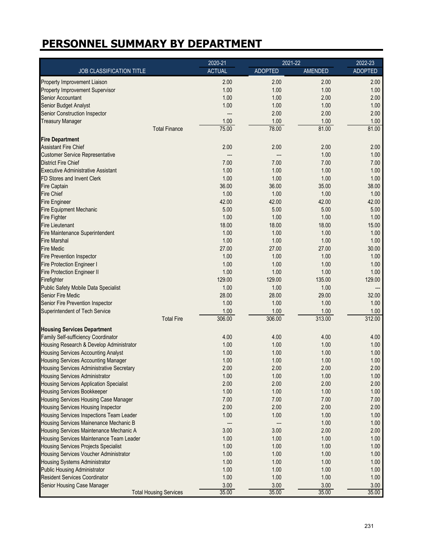|                                                  | $2020 - 21$                 |                | 2021-22 | 2022-23        |
|--------------------------------------------------|-----------------------------|----------------|---------|----------------|
| JOB CLASSIFICATION TITLE                         | <b>ACTUAL</b>               | <b>ADOPTED</b> | AMENDED | <b>ADOPTED</b> |
| Property Improvement Liaison                     | 2.00                        | 2.00           | 2.00    | 2.00           |
| Property Improvement Supervisor                  | 1.00                        | 1.00           | 1.00    | 1.00           |
| <b>Senior Accountant</b>                         | 1.00                        | 1.00           | 2.00    | 2.00           |
| Senior Budget Analyst                            | 1.00                        | 1.00           | 1.00    | 1.00           |
| <b>Senior Construction Inspector</b>             | ---                         | 2.00           | 2.00    | 2.00           |
| <b>Treasury Manager</b>                          | 1.00                        | 1.00           | 1.00    | 1.00           |
| <b>Total Finance</b>                             | 75.00                       | 78.00          | 81.00   | 81.00          |
| <b>Fire Department</b>                           |                             |                |         |                |
| <b>Assistant Fire Chief</b>                      | 2.00                        | 2.00           | 2.00    | 2.00           |
| <b>Customer Service Representative</b>           | $---$                       | ---            | 1.00    | 1.00           |
| <b>District Fire Chief</b>                       | 7.00                        | 7.00           | 7.00    | 7.00           |
| <b>Executive Administrative Assistant</b>        | 1.00                        | 1.00           | 1.00    | 1.00           |
| FD Stores and Invent Clerk                       | 1.00                        | 1.00           | 1.00    | 1.00           |
| <b>Fire Captain</b>                              | 36.00                       | 36.00          | 35.00   | 38.00          |
| <b>Fire Chief</b>                                | 1.00                        | 1.00           | 1.00    | 1.00           |
| <b>Fire Engineer</b>                             | 42.00                       | 42.00          | 42.00   | 42.00          |
| <b>Fire Equipment Mechanic</b>                   | 5.00                        | 5.00           | 5.00    | 5.00           |
| <b>Fire Fighter</b>                              | 1.00                        | 1.00           | 1.00    | 1.00           |
| <b>Fire Lieutenant</b>                           | 18.00                       | 18.00          | 18.00   | 15.00          |
| Fire Maintenance Superintendent                  | 1.00                        | 1.00           | 1.00    | 1.00           |
| <b>Fire Marshal</b>                              | 1.00                        | 1.00           | 1.00    | 1.00           |
| <b>Fire Medic</b>                                | 27.00                       | 27.00          | 27.00   | 30.00          |
| <b>Fire Prevention Inspector</b>                 | 1.00                        | 1.00           | 1.00    | 1.00           |
| <b>Fire Protection Engineer I</b>                | 1.00                        | 1.00           | 1.00    | 1.00           |
| <b>Fire Protection Engineer II</b>               | 1.00                        | 1.00           | 1.00    | 1.00           |
| Firefighter                                      | 129.00                      | 129.00         | 135.00  | 129.00         |
| <b>Public Safety Mobile Data Specialist</b>      | 1.00                        | 1.00           | 1.00    |                |
| <b>Senior Fire Medic</b>                         | 28.00                       | 28.00          | 29.00   | 32.00          |
| Senior Fire Prevention Inspector                 | 1.00                        | 1.00           | 1.00    | 1.00           |
| <b>Superintendent of Tech Service</b>            | 1.00                        | 1.00           | 1.00    | 1.00           |
|                                                  | 306.00<br><b>Total Fire</b> | 306.00         | 313.00  | 312.00         |
| <b>Housing Services Department</b>               |                             |                |         |                |
| Family Self-sufficiency Coordinator              | 4.00                        | 4.00           | 4.00    | 4.00           |
| Housing Research & Develop Administrator         | 1.00                        | 1.00           | 1.00    | 1.00           |
| <b>Housing Services Accounting Analyst</b>       | 1.00                        | 1.00           | 1.00    | 1.00           |
| <b>Housing Services Accounting Manager</b>       | 1.00                        | 1.00           | 1.00    | 1.00           |
| <b>Housing Services Administrative Secretary</b> | 2.00                        | 2.00           | 2.00    | 2.00           |
| <b>Housing Services Administrator</b>            | 1.00                        | 1.00           | 1.00    | 1.00           |
| <b>Housing Services Application Specialist</b>   | 2.00                        | 2.00           | 2.00    | 2.00           |
| <b>Housing Services Bookkeeper</b>               | 1.00                        | 1.00           | 1.00    | 1.00           |
| Housing Services Housing Case Manager            | 7.00                        | 7.00           | 7.00    | 7.00           |
| <b>Housing Services Housing Inspector</b>        | 2.00                        | 2.00           | 2.00    | 2.00           |
| Housing Services Inspections Team Leader         | 1.00                        | 1.00           | 1.00    | 1.00           |
| Housing Services Mainenance Mechanic B           | $-\!-\!$                    |                | 1.00    | 1.00           |
| Housing Services Maintenance Mechanic A          | 3.00                        | 3.00           | 2.00    | 2.00           |
| Housing Services Maintenance Team Leader         | 1.00                        | 1.00           | 1.00    | 1.00           |
| <b>Housing Services Projects Specialist</b>      | 1.00                        | 1.00           | 1.00    | 1.00           |
| Housing Services Voucher Administrator           | 1.00                        | 1.00           | 1.00    | 1.00           |
| <b>Housing Systems Administrator</b>             | 1.00                        | 1.00           | 1.00    | 1.00           |
| <b>Public Housing Administrator</b>              | 1.00                        | 1.00           | 1.00    | 1.00           |
| <b>Resident Services Coordinator</b>             | 1.00                        | 1.00           | 1.00    | 1.00           |
| Senior Housing Case Manager                      | 3.00                        | 3.00           | 3.00    | 3.00           |
| <b>Total Housing Services</b>                    | 35.00                       | 35.00          | 35.00   | 35.00          |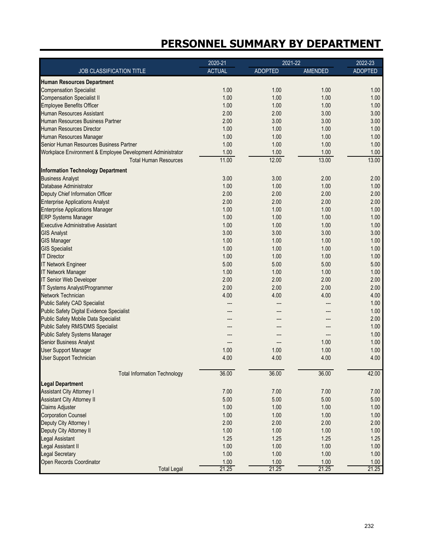|                                                            | 2020-21       | 2021-22        |         | 2022-23        |
|------------------------------------------------------------|---------------|----------------|---------|----------------|
| JOB CLASSIFICATION TITLE                                   | <b>ACTUAL</b> | <b>ADOPTED</b> | AMENDED | <b>ADOPTED</b> |
| <b>Human Resources Department</b>                          |               |                |         |                |
| <b>Compensation Specialist</b>                             | 1.00          | 1.00           | 1.00    | 1.00           |
| <b>Compensation Specialist II</b>                          | 1.00          | 1.00           | 1.00    | 1.00           |
| <b>Employee Benefits Officer</b>                           | 1.00          | 1.00           | 1.00    | 1.00           |
| Human Resources Assistant                                  | 2.00          | 2.00           | 3.00    | 3.00           |
| Human Resources Business Partner                           | 2.00          | 3.00           | 3.00    | 3.00           |
| Human Resources Director                                   | 1.00          | 1.00           | 1.00    | 1.00           |
| Human Resources Manager                                    | 1.00          | 1.00           | 1.00    | 1.00           |
| Senior Human Resources Business Partner                    | 1.00          | 1.00           | 1.00    | 1.00           |
| Workplace Environment & Employee Development Administrator | 1.00          | 1.00           | 1.00    | 1.00           |
| <b>Total Human Resources</b>                               | 11.00         | 12.00          | 13.00   | 13.00          |
| <b>Information Technology Department</b>                   |               |                |         |                |
| <b>Business Analyst</b>                                    | 3.00          | 3.00           | 2.00    | 2.00           |
| Database Administrator                                     | 1.00          | 1.00           | 1.00    | 1.00           |
| Deputy Chief Information Officer                           | 2.00          | 2.00           | 2.00    | 2.00           |
| <b>Enterprise Applications Analyst</b>                     | 2.00          | 2.00           | 2.00    | 2.00           |
| <b>Enterprise Applications Manager</b>                     | 1.00          | 1.00           | 1.00    | 1.00           |
| <b>ERP Systems Manager</b>                                 | 1.00          | 1.00           | 1.00    | 1.00           |
| <b>Executive Administrative Assistant</b>                  | 1.00          | 1.00           | 1.00    | 1.00           |
| <b>GIS Analyst</b>                                         | 3.00          | 3.00           | 3.00    | 3.00           |
| <b>GIS Manager</b>                                         | 1.00          | 1.00           | 1.00    | 1.00           |
| <b>GIS Specialist</b>                                      | 1.00          | 1.00           | 1.00    | 1.00           |
| <b>IT Director</b>                                         | 1.00          | 1.00           | 1.00    | 1.00           |
| <b>IT Network Engineer</b>                                 | 5.00          | 5.00           | 5.00    | 5.00           |
| <b>IT Network Manager</b>                                  | 1.00          | 1.00           | 1.00    | 1.00           |
| <b>IT Senior Web Developer</b>                             | 2.00          | 2.00           | 2.00    | 2.00           |
| IT Systems Analyst/Programmer                              | 2.00          | 2.00           | 2.00    | 2.00           |
| Network Technician                                         | 4.00          | 4.00           | 4.00    | 4.00           |
| <b>Public Safety CAD Specialist</b>                        | ---           |                |         | 1.00           |
| <b>Public Safety Digital Evidence Specialist</b>           | ---           |                |         | 1.00           |
| <b>Public Safety Mobile Data Specialist</b>                |               |                |         | 2.00           |
| <b>Public Safety RMS/DMS Specialist</b>                    |               |                |         | 1.00           |
| <b>Public Safety Systems Manager</b>                       |               |                |         | 1.00           |
| <b>Senior Business Analyst</b>                             | ---           |                | 1.00    | 1.00           |
| User Support Manager                                       | 1.00          | 1.00           | 1.00    | 1.00           |
| User Support Technician                                    | 4.00          | 4.00           | 4.00    | 4.00           |
|                                                            |               |                |         |                |
| <b>Total Information Technology</b>                        | 36.00         | 36.00          | 36.00   | 42.00          |
| <b>Legal Department</b>                                    |               |                |         |                |
| <b>Assistant City Attorney I</b>                           | 7.00          | 7.00           | 7.00    | 7.00           |
| <b>Assistant City Attorney II</b>                          | 5.00          | 5.00           | 5.00    | 5.00           |
| Claims Adjuster                                            | 1.00          | 1.00           | 1.00    | 1.00           |
| <b>Corporation Counsel</b>                                 | 1.00          | 1.00           | 1.00    | 1.00           |
| Deputy City Attorney I                                     | 2.00          | 2.00           | 2.00    | 2.00           |
| Deputy City Attorney II                                    | 1.00          | 1.00           | 1.00    | 1.00           |
| Legal Assistant                                            | 1.25          | 1.25           | 1.25    | 1.25           |
| Legal Assistant II                                         | 1.00          | 1.00           | 1.00    | 1.00           |
| Legal Secretary                                            | 1.00          | 1.00           | 1.00    | 1.00           |
| Open Records Coordinator                                   | 1.00          | 1.00           | 1.00    | 1.00           |
| <b>Total Legal</b>                                         | 21.25         | 21.25          | 21.25   | 21.25          |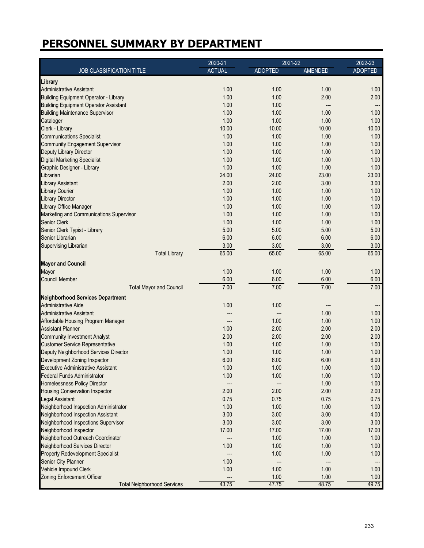|                                              | 2020-21       | 2021-22        |                | 2022-23        |
|----------------------------------------------|---------------|----------------|----------------|----------------|
| JOB CLASSIFICATION TITLE                     | <b>ACTUAL</b> | <b>ADOPTED</b> | <b>AMENDED</b> | <b>ADOPTED</b> |
| Library                                      |               |                |                |                |
| <b>Administrative Assistant</b>              | 1.00          | 1.00           | 1.00           | 1.00           |
| <b>Building Equipment Operator - Library</b> | 1.00          | 1.00           | 2.00           | 2.00           |
| <b>Building Equipment Operator Assistant</b> | 1.00          | 1.00           |                |                |
| <b>Building Maintenance Supervisor</b>       | 1.00          | 1.00           | 1.00           | 1.00           |
| Cataloger                                    | 1.00          | 1.00           | 1.00           | 1.00           |
| Clerk - Library                              | 10.00         | 10.00          | 10.00          | 10.00          |
| <b>Communications Specialist</b>             | 1.00          | 1.00           | 1.00           | 1.00           |
| <b>Community Engagement Supervisor</b>       | 1.00          | 1.00           | 1.00           | 1.00           |
| Deputy Library Director                      | 1.00          | 1.00           | 1.00           | 1.00           |
| <b>Digital Marketing Specialist</b>          | 1.00          | 1.00           | 1.00           | 1.00           |
| Graphic Designer - Library                   | 1.00          | 1.00           | 1.00           | 1.00           |
| Librarian                                    | 24.00         | 24.00          | 23.00          | 23.00          |
| <b>Library Assistant</b>                     | 2.00          | 2.00           | 3.00           | 3.00           |
| <b>Library Courier</b>                       | 1.00          | 1.00           | 1.00           | 1.00           |
| <b>Library Director</b>                      | 1.00          | 1.00           | 1.00           | 1.00           |
| Library Office Manager                       | 1.00          | 1.00           | 1.00           | 1.00           |
| Marketing and Communications Supervisor      | 1.00          | 1.00           | 1.00           | 1.00           |
| <b>Senior Clerk</b>                          | 1.00          | 1.00           | 1.00           | 1.00           |
| Senior Clerk Typist - Library                | 5.00          | 5.00           | 5.00           | 5.00           |
| Senior Librarian                             | 6.00          | 6.00           | 6.00           | 6.00           |
|                                              | 3.00          | 3.00           | 3.00           | 3.00           |
| Supervising Librarian                        | 65.00         | 65.00          | 65.00          | 65.00          |
| <b>Total Library</b>                         |               |                |                |                |
| <b>Mayor and Council</b>                     |               |                |                |                |
| Mayor                                        | 1.00          | 1.00           | 1.00           | 1.00           |
| <b>Council Member</b>                        | 6.00          | 6.00           | 6.00           | 6.00           |
| <b>Total Mayor and Council</b>               | 7.00          | 7.00           | 7.00           | 7.00           |
| <b>Neighborhood Services Department</b>      |               |                |                |                |
| <b>Administrative Aide</b>                   | 1.00          | 1.00           |                | ---            |
| <b>Administrative Assistant</b>              | ---           | ---            | 1.00           | 1.00           |
| Affordable Housing Program Manager           |               | 1.00           | 1.00           | 1.00           |
| <b>Assistant Planner</b>                     | 1.00          | 2.00           | 2.00           | 2.00           |
| <b>Community Investment Analyst</b>          | 2.00          | 2.00           | 2.00           | 2.00           |
| <b>Customer Service Representative</b>       | 1.00          | 1.00           | 1.00           | 1.00           |
| Deputy Neighborhood Services Director        | 1.00          | 1.00           | 1.00           | 1.00           |
| Development Zoning Inspector                 | 6.00          | 6.00           | 6.00           | 6.00           |
| <b>Executive Administrative Assistant</b>    | 1.00          | 1.00           | 1.00           | 1.00           |
| <b>Federal Funds Administrator</b>           | 1.00          | 1.00           | 1.00           | 1.00           |
| Homelessness Policy Director                 | ---           | ---            | 1.00           | 1.00           |
| <b>Housing Conservation Inspector</b>        | 2.00          | 2.00           | 2.00           | 2.00           |
| <b>Legal Assistant</b>                       | 0.75          | 0.75           | 0.75           | 0.75           |
| Neighborhood Inspection Administrator        | 1.00          | 1.00           | 1.00           | 1.00           |
| Neighborhood Inspection Assistant            | 3.00          | 3.00           | 3.00           | 4.00           |
| Neighborhood Inspections Supervisor          | 3.00          | 3.00           | 3.00           | 3.00           |
| Neighborhood Inspector                       | 17.00         | 17.00          | 17.00          | 17.00          |
| Neighborhood Outreach Coordinator            | ---           | 1.00           | 1.00           | 1.00           |
| Neighborhood Services Director               | 1.00          | 1.00           | 1.00           | 1.00           |
| <b>Property Redevelopment Specialist</b>     |               | 1.00           | 1.00           | 1.00           |
| Senior City Planner                          | 1.00          | ---            |                |                |
| Vehicle Impound Clerk                        | 1.00          | 1.00           | 1.00           | 1.00           |
| <b>Zoning Enforcement Officer</b>            |               | 1.00           | 1.00           | 1.00           |
| <b>Total Neighborhood Services</b>           | 43.75         | 47.75          | 48.75          | 49.75          |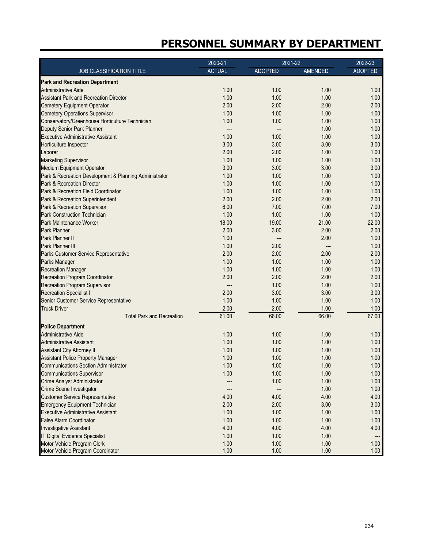|                                                        | 2020-21       | 2021-22        |         | 2022-23        |
|--------------------------------------------------------|---------------|----------------|---------|----------------|
| JOB CLASSIFICATION TITLE                               | <b>ACTUAL</b> | <b>ADOPTED</b> | AMENDED | <b>ADOPTED</b> |
| <b>Park and Recreation Department</b>                  |               |                |         |                |
| <b>Administrative Aide</b>                             | 1.00          | 1.00           | 1.00    | 1.00           |
| <b>Assistant Park and Recreation Director</b>          | 1.00          | 1.00           | 1.00    | 1.00           |
| <b>Cemetery Equipment Operator</b>                     | 2.00          | 2.00           | 2.00    | 2.00           |
| <b>Cemetery Operations Supervisor</b>                  | 1.00          | 1.00           | 1.00    | 1.00           |
| Conservatory/Greenhouse Horticulture Technician        | 1.00          | 1.00           | 1.00    | 1.00           |
| Deputy Senior Park Planner                             | ---           | ---            | 1.00    | 1.00           |
| <b>Executive Administrative Assistant</b>              | 1.00          | 1.00           | 1.00    | 1.00           |
| Horticulture Inspector                                 | 3.00          | 3.00           | 3.00    | 3.00           |
| Laborer                                                | 2.00          | 2.00           | 1.00    | 1.00           |
| <b>Marketing Supervisor</b>                            | 1.00          | 1.00           | 1.00    | 1.00           |
| <b>Medium Equipment Operator</b>                       | 3.00          | 3.00           | 3.00    | 3.00           |
| Park & Recreation Development & Planning Administrator | 1.00          | 1.00           | 1.00    | 1.00           |
| Park & Recreation Director                             | 1.00          | 1.00           | 1.00    | 1.00           |
| Park & Recreation Field Coordinator                    | 1.00          | 1.00           | 1.00    | 1.00           |
| Park & Recreation Superintendent                       | 2.00          | 2.00           | 2.00    | 2.00           |
| Park & Recreation Supervisor                           | 6.00          | 7.00           | 7.00    | 7.00           |
| <b>Park Construction Technician</b>                    | 1.00          | 1.00           | 1.00    | 1.00           |
| Park Maintenance Worker                                | 18.00         | 19.00          | 21.00   | 22.00          |
| Park Planner                                           | 2.00          | 3.00           | 2.00    | 2.00           |
| Park Planner II                                        | 1.00          | ---            | 2.00    | 1.00           |
| Park Planner III                                       | 1.00          | 2.00           |         | 1.00           |
| Parks Customer Service Representative                  | 2.00          | 2.00           | 2.00    | 2.00           |
| Parks Manager                                          | 1.00          | 1.00           | 1.00    | 1.00           |
| <b>Recreation Manager</b>                              | 1.00          | 1.00           | 1.00    | 1.00           |
|                                                        | 2.00          | 2.00           | 2.00    | 2.00           |
| <b>Recreation Program Coordinator</b>                  |               |                |         |                |
| Recreation Program Supervisor                          | ---           | 1.00           | 1.00    | 1.00           |
| <b>Recreation Specialist I</b>                         | 2.00          | 3.00           | 3.00    | 3.00           |
| Senior Customer Service Representative                 | 1.00          | 1.00           | 1.00    | 1.00           |
| <b>Truck Driver</b>                                    | 2.00          | 2.00           | 1.00    | 1.00           |
| <b>Total Park and Recreation</b>                       | 61.00         | 66.00          | 66.00   | 67.00          |
| <b>Police Department</b>                               |               |                |         |                |
| <b>Administrative Aide</b>                             | 1.00          | 1.00           | 1.00    | 1.00           |
| <b>Administrative Assistant</b>                        | 1.00          | 1.00           | 1.00    | 1.00           |
| <b>Assistant City Attorney II</b>                      | 1.00          | 1.00           | 1.00    | 1.00           |
| <b>Assistant Police Property Manager</b>               | 1.00          | 1.00           | 1.00    | 1.00           |
| <b>Communications Section Administrator</b>            | 1.00          | 1.00           | 1.00    | 1.00           |
| <b>Communications Supervisor</b>                       | 1.00          | 1.00           | 1.00    | 1.00           |
| <b>Crime Analyst Administrator</b>                     | ---           | 1.00           | 1.00    | 1.00           |
| Crime Scene Investigator                               | ---           |                | 1.00    | 1.00           |
| <b>Customer Service Representative</b>                 | 4.00          | 4.00           | 4.00    | 4.00           |
| <b>Emergency Equipment Technician</b>                  | 2.00          | 2.00           | 3.00    | 3.00           |
| <b>Executive Administrative Assistant</b>              | 1.00          | 1.00           | 1.00    | 1.00           |
| <b>False Alarm Coordinator</b>                         | 1.00          | 1.00           | 1.00    | 1.00           |
| <b>Investigative Assistant</b>                         | 4.00          | 4.00           | 4.00    | 4.00           |
| IT Digital Evidence Specialist                         | 1.00          | 1.00           | 1.00    | ---            |
| Motor Vehicle Program Clerk                            | 1.00          | 1.00           | 1.00    | 1.00           |
| Motor Vehicle Program Coordinator                      | 1.00          | 1.00           | 1.00    | 1.00           |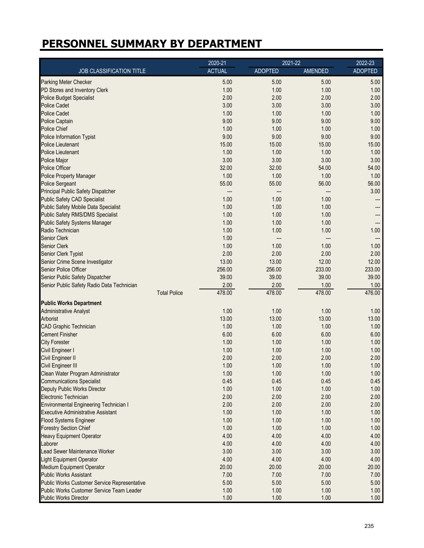|                                               | 2020-21       | 2021-22        |                | 2022-23        |
|-----------------------------------------------|---------------|----------------|----------------|----------------|
| JOB CLASSIFICATION TITLE                      | <b>ACTUAL</b> | <b>ADOPTED</b> | <b>AMENDED</b> | <b>ADOPTED</b> |
| Parking Meter Checker                         | 5.00          | 5.00           | 5.00           | 5.00           |
| PD Stores and Inventory Clerk                 | 1.00          | 1.00           | 1.00           | 1.00           |
| <b>Police Budget Specialist</b>               | 2.00          | 2.00           | 2.00           | 2.00           |
| <b>Police Cadet</b>                           | 3.00          | 3.00           | 3.00           | 3.00           |
| <b>Police Cadet</b>                           | 1.00          | 1.00           | 1.00           | 1.00           |
| Police Captain                                | 9.00          | 9.00           | 9.00           | 9.00           |
| Police Chief                                  | 1.00          | 1.00           | 1.00           | 1.00           |
| Police Information Typist                     | 9.00          | 9.00           | 9.00           | 9.00           |
| <b>Police Lieutenant</b>                      | 15.00         | 15.00          | 15.00          | 15.00          |
| <b>Police Lieutenant</b>                      | 1.00          | 1.00           | 1.00           | 1.00           |
| Police Major                                  | 3.00          | 3.00           | 3.00           | 3.00           |
| <b>Police Officer</b>                         | 32.00         | 32.00          | 54.00          | 54.00          |
| <b>Police Property Manager</b>                | 1.00          | 1.00           | 1.00           | 1.00           |
| <b>Police Sergeant</b>                        | 55.00         | 55.00          | 56.00          | 56.00          |
| Principal Public Safety Dispatcher            | ---           | ---            |                | 3.00           |
| <b>Public Safety CAD Specialist</b>           | 1.00          | 1.00           | 1.00           | ---            |
| <b>Public Safety Mobile Data Specialist</b>   | 1.00          | 1.00           | 1.00           | ---            |
| <b>Public Safety RMS/DMS Specialist</b>       | 1.00          | 1.00           | 1.00           | ---            |
| <b>Public Safety Systems Manager</b>          | 1.00          | 1.00           | 1.00           | ---            |
| Radio Technician                              | 1.00          | 1.00           | 1.00           | 1.00           |
| Senior Clerk                                  | 1.00          |                |                | ---            |
| Senior Clerk                                  | 1.00          | 1.00           | 1.00           | 1.00           |
| Senior Clerk Typist                           | 2.00          | 2.00           | 2.00           | 2.00           |
| Senior Crime Scene Investigator               | 13.00         | 13.00          | 12.00          | 12.00          |
| Senior Police Officer                         | 256.00        | 256.00         | 233.00         | 233.00         |
| Senior Public Safety Dispatcher               | 39.00         | 39.00          | 39.00          | 39.00          |
| Senior Public Safety Radio Data Technician    | 2.00          | 2.00           | 1.00           | 1.00           |
| <b>Total Police</b>                           | 478.00        | 478.00         | 478.00         | 476.00         |
| <b>Public Works Department</b>                |               |                |                |                |
| <b>Administrative Analyst</b>                 | 1.00          | 1.00           | 1.00           | 1.00           |
| Arborist                                      | 13.00         | 13.00          | 13.00          | 13.00          |
| <b>CAD Graphic Technician</b>                 | 1.00          | 1.00           | 1.00           | 1.00           |
| <b>Cement Finisher</b>                        | 6.00          | 6.00           | 6.00           | 6.00           |
| <b>City Forester</b>                          | 1.00          | 1.00           | 1.00           | 1.00           |
| Civil Engineer I                              | 1.00          | 1.00           | 1.00           | 1.00           |
| Civil Engineer II                             | 2.00          | 2.00           | 2.00           | 2.00           |
| Civil Engineer III                            | 1.00          | 1.00           | 1.00           | 1.00           |
| Clean Water Program Administrator             | 1.00          | 1.00           | 1.00           | 1.00           |
| <b>Communications Specialist</b>              | 0.45          | 0.45           | 0.45           | 0.45           |
| Deputy Public Works Director                  | 1.00          | 1.00           | 1.00           | 1.00           |
| Electronic Technician                         | 2.00          | 2.00           | 2.00           | 2.00           |
| <b>Environmental Engineering Technician I</b> | 2.00          | 2.00           | 2.00           | 2.00           |
| <b>Executive Administrative Assistant</b>     | 1.00          | 1.00           | 1.00           | 1.00           |
| <b>Flood Systems Engineer</b>                 | 1.00          | 1.00           | 1.00           | 1.00           |
| <b>Forestry Section Chief</b>                 | 1.00          | 1.00           | 1.00           | 1.00           |
| <b>Heavy Equipment Operator</b>               | 4.00          | 4.00           | 4.00           | 4.00           |
| Laborer                                       | 4.00          | 4.00           | 4.00           | 4.00           |
| Lead Sewer Maintenance Worker                 | 3.00          | 3.00           | 3.00           | 3.00           |
| <b>Light Equipment Operator</b>               | 4.00          | 4.00           | 4.00           | 4.00           |
| <b>Medium Equipment Operator</b>              | 20.00         | 20.00          | 20.00          | 20.00          |
| <b>Public Works Assistant</b>                 | 7.00          | 7.00           | 7.00           | 7.00           |
| Public Works Customer Service Representative  | 5.00          | 5.00           | 5.00           | 5.00           |
| Public Works Customer Service Team Leader     | 1.00          | 1.00           | 1.00           | 1.00           |
| <b>Public Works Director</b>                  | 1.00          | 1.00           | 1.00           | 1.00           |